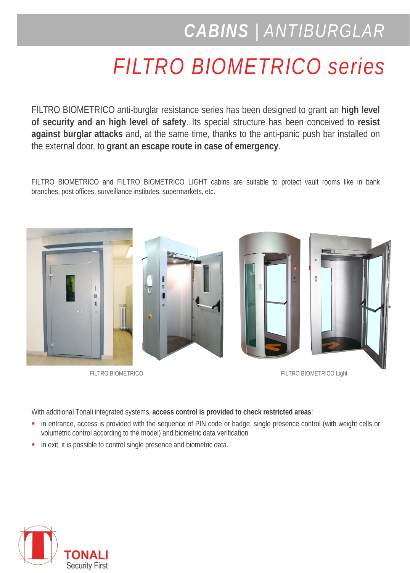## *CABINS | ANTIBURGLAR*

## *FILTRO BIOMETRICO series*

FILTRO BIOMETRICO anti-burglar resistance series has been designed to grant an **high level of security and an high level of safety**. Its special structure has been conceived to **resist against burglar attacks** and, at the same time, thanks to the anti-panic push bar installed on the external door, to **grant an escape route in case of emergency**.

FILTRO BIOMETRICO and FILTRO BIOMETRICO LIGHT cabins are suitable to protect vault rooms like in bank branches, post offices, surveillance institutes, supermarkets, etc.



FILTRO BIOMETRICO **FILTRO BIOMETRICO** 

With additional Tonali integrated systems, **access control is provided to check restricted areas**:

- in entrance, access is provided with the sequence of PIN code or badge, single presence control (with weight cells or volumetric control according to the model) and biometric data verification
- **in exit, it is possible to control single presence and biometric data.**

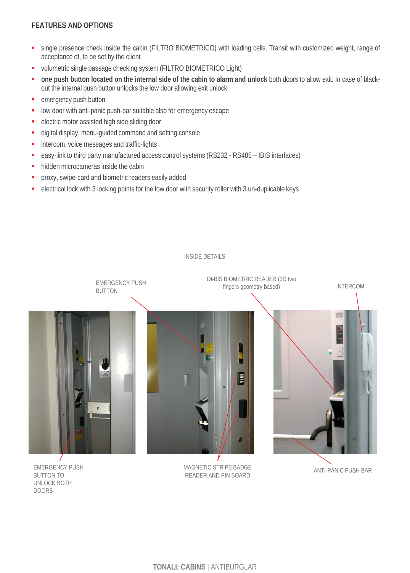## **FEATURES AND OPTIONS**

- single presence check inside the cabin (FILTRO BIOMETRICO) with loading cells. Transit with customized weight, range of acceptance of, to be set by the client
- volumetric single passage checking system (FILTRO BIOMETRICO Light)
- one push button located on the internal side of the cabin to alarm and unlock both doors to allow exit. In case of blackout the internal push button unlocks the low door allowing exit unlock
- emergency push button
- **-** low door with anti-panic push-bar suitable also for emergency escape
- **electric motor assisted high side sliding door**
- digital display, menu-guided command and setting console
- **intercom, voice messages and traffic-lights**
- easy-link to third party manufactured access control systems (RS232 RS485 IBIS interfaces)
- hidden microcameras inside the cabin
- proxy, swipe-card and biometric readers easily added
- electrical lock with 3 locking points for the low door with security roller with 3 un-duplicable keys



INSIDE DETAILS

EMERGENCY PUSH BUTTON TO UNLOCK BOTH DOORS

MAGNETIC STRIPE BADGE READER AND PIN BOARD

ANTI-PANIC PUSH BAR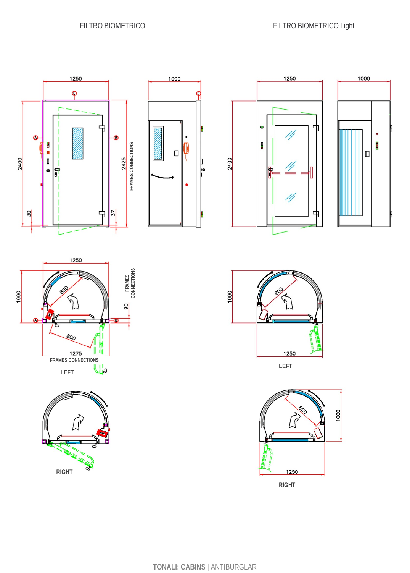













**LEFT**